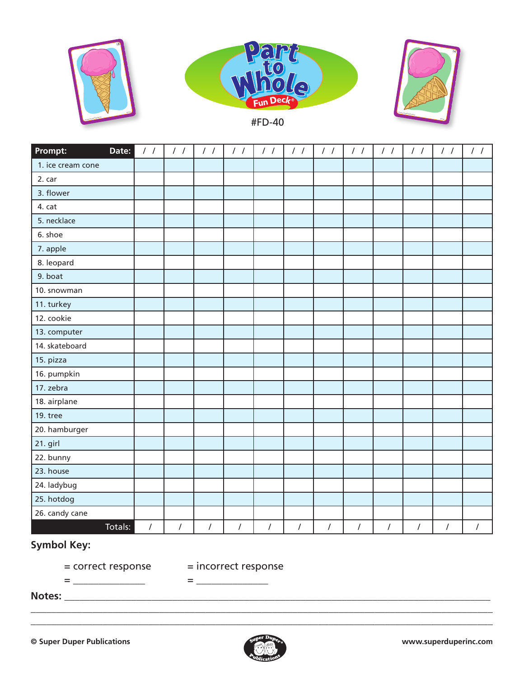

| Prompt:<br>Date:  | $\frac{1}{2}$        | $\frac{1}{2}$ | $\frac{1}{2}$ | $\frac{1}{2}$ | $\frac{1}{2}$ | $\frac{1}{2}$ | $\frac{1}{2}$ | $\frac{1}{2}$  | $\frac{1}{2}$ | $\frac{1}{2}$ | $\frac{1}{2}$ | $\frac{1}{2}$        |
|-------------------|----------------------|---------------|---------------|---------------|---------------|---------------|---------------|----------------|---------------|---------------|---------------|----------------------|
| 1. ice cream cone |                      |               |               |               |               |               |               |                |               |               |               |                      |
| 2. car            |                      |               |               |               |               |               |               |                |               |               |               |                      |
| 3. flower         |                      |               |               |               |               |               |               |                |               |               |               |                      |
| 4. cat            |                      |               |               |               |               |               |               |                |               |               |               |                      |
| 5. necklace       |                      |               |               |               |               |               |               |                |               |               |               |                      |
| 6. shoe           |                      |               |               |               |               |               |               |                |               |               |               |                      |
| 7. apple          |                      |               |               |               |               |               |               |                |               |               |               |                      |
| 8. leopard        |                      |               |               |               |               |               |               |                |               |               |               |                      |
| 9. boat           |                      |               |               |               |               |               |               |                |               |               |               |                      |
| 10. snowman       |                      |               |               |               |               |               |               |                |               |               |               |                      |
| 11. turkey        |                      |               |               |               |               |               |               |                |               |               |               |                      |
| 12. cookie        |                      |               |               |               |               |               |               |                |               |               |               |                      |
| 13. computer      |                      |               |               |               |               |               |               |                |               |               |               |                      |
| 14. skateboard    |                      |               |               |               |               |               |               |                |               |               |               |                      |
| 15. pizza         |                      |               |               |               |               |               |               |                |               |               |               |                      |
| 16. pumpkin       |                      |               |               |               |               |               |               |                |               |               |               |                      |
| 17. zebra         |                      |               |               |               |               |               |               |                |               |               |               |                      |
| 18. airplane      |                      |               |               |               |               |               |               |                |               |               |               |                      |
| 19. tree          |                      |               |               |               |               |               |               |                |               |               |               |                      |
| 20. hamburger     |                      |               |               |               |               |               |               |                |               |               |               |                      |
| 21. girl          |                      |               |               |               |               |               |               |                |               |               |               |                      |
| 22. bunny         |                      |               |               |               |               |               |               |                |               |               |               |                      |
| 23. house         |                      |               |               |               |               |               |               |                |               |               |               |                      |
| 24. ladybug       |                      |               |               |               |               |               |               |                |               |               |               |                      |
| 25. hotdog        |                      |               |               |               |               |               |               |                |               |               |               |                      |
| 26. candy cane    |                      |               |               |               |               |               |               |                |               |               |               |                      |
| Totals:           | $\sqrt{\phantom{a}}$ | /             | $\prime$      | $\prime$      | $\prime$      | $\sqrt{2}$    | $\prime$      | $\overline{I}$ | $\sqrt{2}$    | $\sqrt{2}$    | $\cal I$      | $\sqrt{\phantom{a}}$ |

## **Symbol Key:**

= correct response = incorrect response

= \_\_\_\_\_\_\_\_\_\_\_\_\_\_ = \_\_\_\_\_\_\_\_\_\_\_\_\_\_

**Notes:** \_\_\_\_\_\_\_\_\_\_\_\_\_\_\_\_\_\_\_\_\_\_\_\_\_\_\_\_\_\_\_\_\_\_\_\_\_\_\_\_\_\_\_\_\_\_\_\_\_\_\_\_\_\_\_\_\_\_\_\_\_\_\_\_\_\_\_\_\_\_\_\_\_\_\_\_\_\_\_\_\_\_\_



\_\_\_\_\_\_\_\_\_\_\_\_\_\_\_\_\_\_\_\_\_\_\_\_\_\_\_\_\_\_\_\_\_\_\_\_\_\_\_\_\_\_\_\_\_\_\_\_\_\_\_\_\_\_\_\_\_\_\_\_\_\_\_\_\_\_\_\_\_\_\_\_\_\_\_\_\_\_\_\_\_\_\_\_\_\_\_\_\_\_ \_\_\_\_\_\_\_\_\_\_\_\_\_\_\_\_\_\_\_\_\_\_\_\_\_\_\_\_\_\_\_\_\_\_\_\_\_\_\_\_\_\_\_\_\_\_\_\_\_\_\_\_\_\_\_\_\_\_\_\_\_\_\_\_\_\_\_\_\_\_\_\_\_\_\_\_\_\_\_\_\_\_\_\_\_\_\_\_\_\_